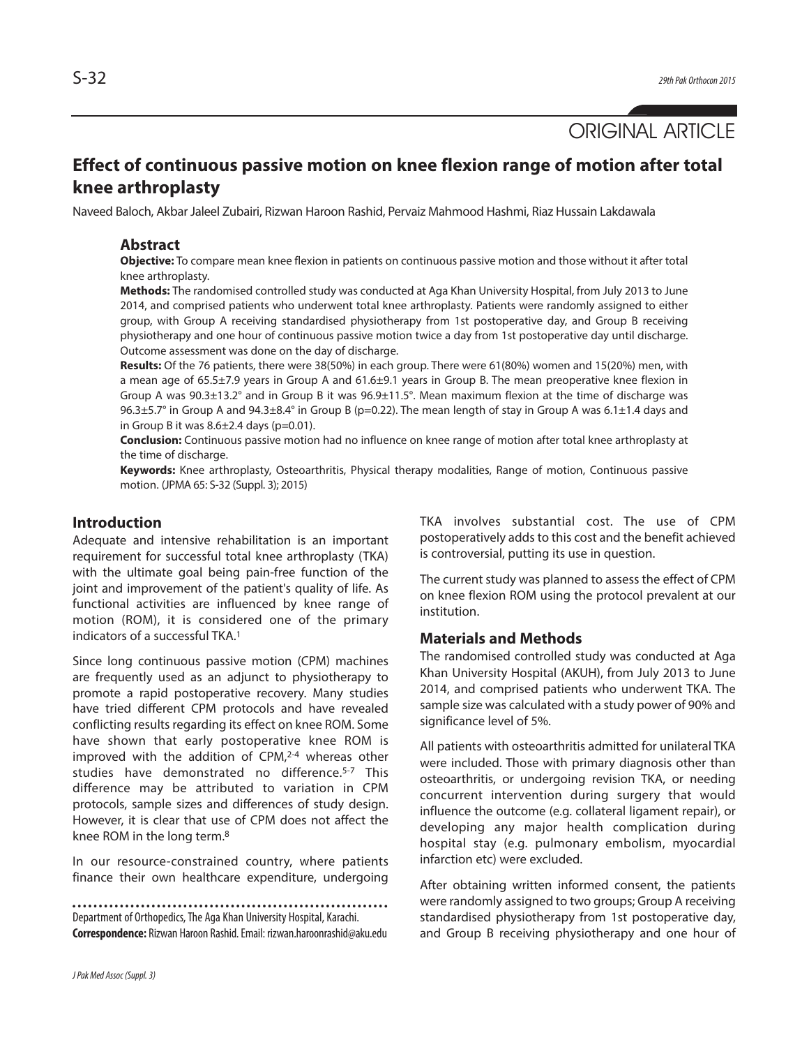# **Effect of continuous passive motion on knee flexion range of motion after total knee arthroplasty**

Naveed Baloch, Akbar Jaleel Zubairi, Rizwan Haroon Rashid, Pervaiz Mahmood Hashmi, Riaz Hussain Lakdawala

### **Abstract**

**Objective:** To compare mean knee flexion in patients on continuous passive motion and those without it after total knee arthroplasty.

**Methods:** The randomised controlled study was conducted at Aga Khan University Hospital, from July 2013 to June 2014, and comprised patients who underwent total knee arthroplasty. Patients were randomly assigned to either group, with Group A receiving standardised physiotherapy from 1st postoperative day, and Group B receiving physiotherapy and one hour of continuous passive motion twice a day from 1st postoperative day until discharge. Outcome assessment was done on the day of discharge.

**Results:** Of the 76 patients, there were 38(50%) in each group. There were 61(80%) women and 15(20%) men, with a mean age of 65.5±7.9 years in Group A and 61.6±9.1 years in Group B. The mean preoperative knee flexion in Group A was 90.3±13.2° and in Group B it was 96.9±11.5°. Mean maximum flexion at the time of discharge was 96.3 $\pm$ 5.7° in Group A and 94.3 $\pm$ 8.4° in Group B (p=0.22). The mean length of stay in Group A was 6.1 $\pm$ 1.4 days and in Group B it was  $8.6\pm2.4$  days (p=0.01).

**Conclusion:** Continuous passive motion had no influence on knee range of motion after total knee arthroplasty at the time of discharge.

**Keywords:** Knee arthroplasty, Osteoarthritis, Physical therapy modalities, Range of motion, Continuous passive motion. (JPMA 65: S-32 (Suppl. 3); 2015)

### **Introduction**

Adequate and intensive rehabilitation is an important requirement for successful total knee arthroplasty (TKA) with the ultimate goal being pain-free function of the joint and improvement of the patient's quality of life. As functional activities are influenced by knee range of motion (ROM), it is considered one of the primary indicators of a successful TKA. 1

Since long continuous passive motion (CPM) machines are frequently used as an adjunct to physiotherapy to promote a rapid postoperative recovery. Many studies have tried different CPM protocols and have revealed conflicting results regarding its effect on knee ROM. Some have shown that early postoperative knee ROM is improved with the addition of CPM, 2-4 whereas other studies have demonstrated no difference. 5-7 This difference may be attributed to variation in CPM protocols, sample sizes and differences of study design. However, it is clear that use of CPM does not affect the knee ROM in the long term. 8

In our resource-constrained country, where patients finance their own healthcare expenditure, undergoing

Department of Orthopedics, The Aga Khan University Hospital, Karachi. **Correspondence:** Rizwan Haroon Rashid.Email: rizwan.haroonrashid@aku.edu TKA involves substantial cost. The use of CPM postoperatively adds to this cost and the benefit achieved is controversial, putting its use in question.

The current study was planned to assess the effect of CPM on knee flexion ROM using the protocol prevalent at our institution.

#### **Materials and Methods**

The randomised controlled study was conducted at Aga Khan University Hospital (AKUH), from July 2013 to June 2014, and comprised patients who underwent TKA. The sample size was calculated with a study power of 90% and significance level of 5%.

All patients with osteoarthritis admitted for unilateral TKA were included. Those with primary diagnosis other than osteoarthritis, or undergoing revision TKA, or needing concurrent intervention during surgery that would influence the outcome (e.g. collateral ligament repair), or developing any major health complication during hospital stay (e.g. pulmonary embolism, myocardial infarction etc) were excluded.

After obtaining written informed consent, the patients were randomly assigned to two groups; Group A receiving standardised physiotherapy from 1st postoperative day, and Group B receiving physiotherapy and one hour of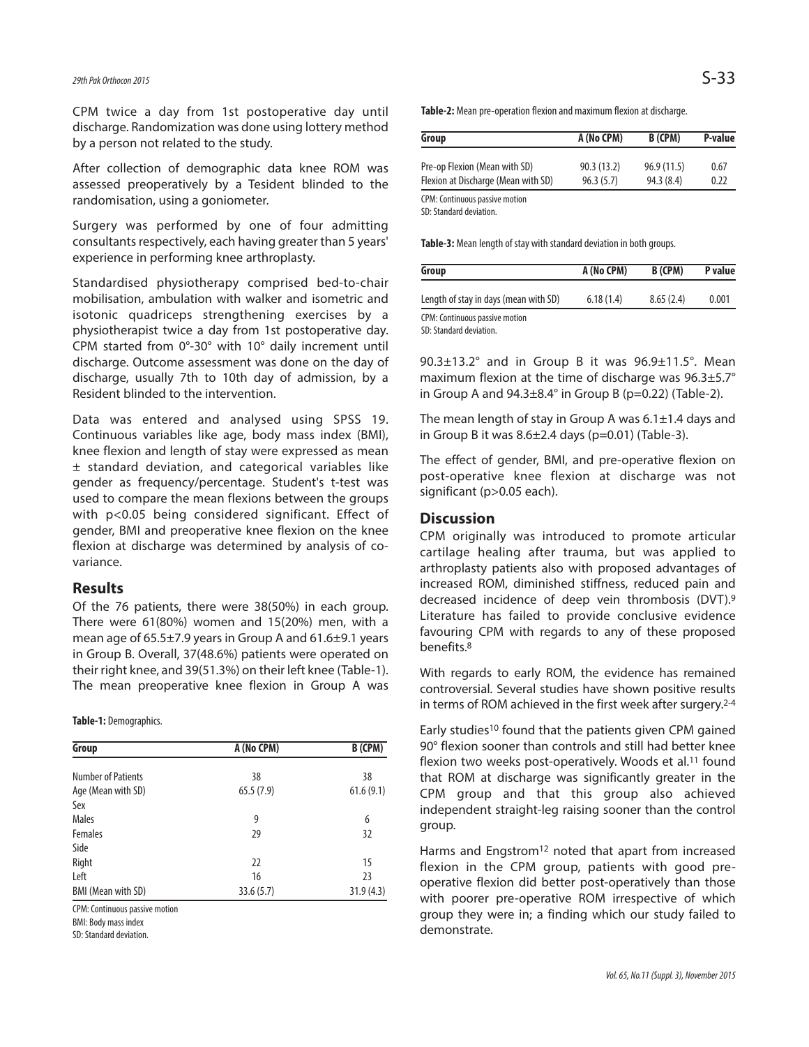## *29thPak Orthocon2015* S-33

CPM twice a day from 1st postoperative day until discharge. Randomization was done using lottery method by a person not related to the study.

After collection of demographic data knee ROM was assessed preoperatively by a Tesident blinded to the randomisation, using a goniometer.

Surgery was performed by one of four admitting consultants respectively, each having greater than 5 years' experience in performing knee arthroplasty.

Standardised physiotherapy comprised bed-to-chair mobilisation, ambulation with walker and isometric and isotonic quadriceps strengthening exercises by a physiotherapist twice a day from 1st postoperative day. CPM started from 0°-30° with 10° daily increment until discharge. Outcome assessment was done on the day of discharge, usually 7th to 10th day of admission, by a Resident blinded to the intervention.

Data was entered and analysed using SPSS 19. Continuous variables like age, body mass index (BMI), knee flexion and length of stay were expressed as mean ± standard deviation, and categorical variables like gender as frequency/percentage. Student's t-test was used to compare the mean flexions between the groups with p<0.05 being considered significant. Effect of gender, BMI and preoperative knee flexion on the knee flexion at discharge was determined by analysis of covariance.

### **Results**

Of the 76 patients, there were 38(50%) in each group. There were 61(80%) women and 15(20%) men, with a mean age of 65.5±7.9 years in Group A and 61.6±9.1 years in Group B. Overall, 37(48.6%) patients were operated on their right knee, and 39(51.3%) on their left knee (Table-1). The mean preoperative knee flexion in Group A was

**Table-1:** Demographics.

| Group                     | A (No CPM) | B (CPM)   |
|---------------------------|------------|-----------|
| <b>Number of Patients</b> | 38         | 38        |
|                           |            |           |
| Age (Mean with SD)        | 65.5(7.9)  | 61.6(9.1) |
| Sex                       |            |           |
| <b>Males</b>              | 9          | 6         |
| Females                   | 29         | 32        |
| Side                      |            |           |
| Right                     | 22         | 15        |
| Left                      | 16         | 23        |
| <b>BMI (Mean with SD)</b> | 33.6(5.7)  | 31.9(4.3) |

CPM: Continuous passive motion

BMI: Body mass index

SD: Standard deviation.

Table-2: Mean pre-operation flexion and maximum flexion at discharge.

| Group                               | A (No CPM) | B (CPM)    | P-value |
|-------------------------------------|------------|------------|---------|
| Pre-op Flexion (Mean with SD)       | 90.3(13.2) | 96.9(11.5) | 0.67    |
| Flexion at Discharge (Mean with SD) | 96.3(5.7)  | 94.3 (8.4) | 0.22    |

CPM: Continuous passive motion

SD: Standard deviation.

Table-3: Mean length of stay with standard deviation in both groups.

| Group                                 | A (No CPM) | B (CPM)   | P value |
|---------------------------------------|------------|-----------|---------|
| Length of stay in days (mean with SD) | 6.18(1.4)  | 8.65(2.4) | 0.001   |
| CPM: Continuous passive motion        |            |           |         |

SD: Standard deviation

90.3±13.2° and in Group B it was 96.9±11.5°. Mean maximum flexion at the time of discharge was 96.3±5.7° in Group A and  $94.3\pm8.4^\circ$  in Group B (p=0.22) (Table-2).

The mean length of stay in Group A was  $6.1 \pm 1.4$  days and in Group B it was  $8.6 \pm 2.4$  days (p=0.01) (Table-3).

The effect of gender, BMI, and pre-operative flexion on post-operative knee flexion at discharge was not significant (p>0.05 each).

### **Discussion**

CPM originally was introduced to promote articular cartilage healing after trauma, but was applied to arthroplasty patients also with proposed advantages of increased ROM, diminished stiffness, reduced pain and decreased incidence of deep vein thrombosis (DVT). 9 Literature has failed to provide conclusive evidence favouring CPM with regards to any of these proposed benefits. 8

With regards to early ROM, the evidence has remained controversial. Several studies have shown positive results in terms of ROM achieved in the first week after surgery. 2-4

Early studies10 found that the patients given CPM gained 90° flexion sooner than controls and still had better knee flexion two weeks post-operatively. Woods et al.<sup>11</sup> found that ROM at discharge was significantly greater in the CPM group and that this group also achieved independent straight-leg raising sooner than the control group.

Harms and Engstrom<sup>12</sup> noted that apart from increased flexion in the CPM group, patients with good preoperative flexion did better post-operatively than those with poorer pre-operative ROM irrespective of which group they were in; a finding which our study failed to demonstrate.